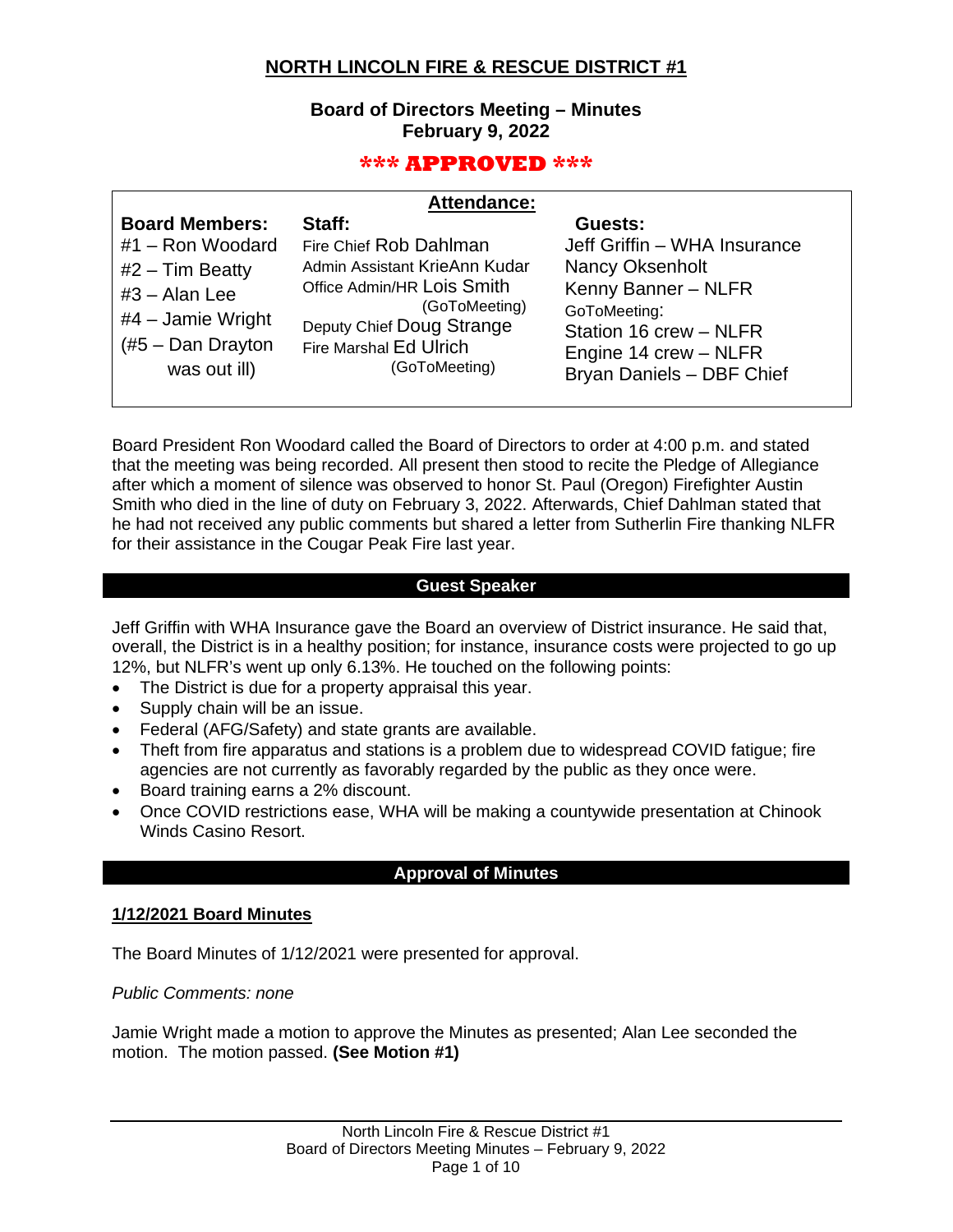# **NORTH LINCOLN FIRE & RESCUE DISTRICT #1**

### **Board of Directors Meeting – Minutes February 9, 2022**

# **\*\*\* APPROVED \*\*\***

| <b>Attendance:</b> |  |
|--------------------|--|
|                    |  |

| <b>Board Members:</b><br>#1 - Ron Woodard<br>$#2$ – Tim Beatty<br>$#3 - Alan Lee$<br>$#4$ – Jamie Wright<br>$#5$ – Dan Drayton<br>was out ill) | Staff:<br>Fire Chief Rob Dahlman<br>Admin Assistant KrieAnn Kudar<br>Office Admin/HR Lois Smith<br>(GoToMeeting)<br>Deputy Chief Doug Strange<br>Fire Marshal Ed Ulrich<br>(GoToMeeting) | Guests:<br>Jeff Griffin - WHA Insurance<br><b>Nancy Oksenholt</b><br>Kenny Banner - NLFR<br>GoToMeeting:<br>Station 16 crew - NLFR<br>Engine 14 crew - NLFR<br>Bryan Daniels - DBF Chief |
|------------------------------------------------------------------------------------------------------------------------------------------------|------------------------------------------------------------------------------------------------------------------------------------------------------------------------------------------|------------------------------------------------------------------------------------------------------------------------------------------------------------------------------------------|
|                                                                                                                                                |                                                                                                                                                                                          |                                                                                                                                                                                          |

Board President Ron Woodard called the Board of Directors to order at 4:00 p.m. and stated that the meeting was being recorded. All present then stood to recite the Pledge of Allegiance after which a moment of silence was observed to honor St. Paul (Oregon) Firefighter Austin Smith who died in the line of duty on February 3, 2022. Afterwards, Chief Dahlman stated that he had not received any public comments but shared a letter from Sutherlin Fire thanking NLFR for their assistance in the Cougar Peak Fire last year.

#### **Guest Speaker**

Jeff Griffin with WHA Insurance gave the Board an overview of District insurance. He said that, overall, the District is in a healthy position; for instance, insurance costs were projected to go up 12%, but NLFR's went up only 6.13%. He touched on the following points:

- The District is due for a property appraisal this year.
- Supply chain will be an issue.
- Federal (AFG/Safety) and state grants are available.
- Theft from fire apparatus and stations is a problem due to widespread COVID fatigue; fire agencies are not currently as favorably regarded by the public as they once were.
- Board training earns a 2% discount.
- Once COVID restrictions ease, WHA will be making a countywide presentation at Chinook Winds Casino Resort.

### **Approval of Minutes**

### **1/12/2021 Board Minutes**

The Board Minutes of 1/12/2021 were presented for approval.

*Public Comments: none*

Jamie Wright made a motion to approve the Minutes as presented; Alan Lee seconded the motion. The motion passed. **(See Motion #1)**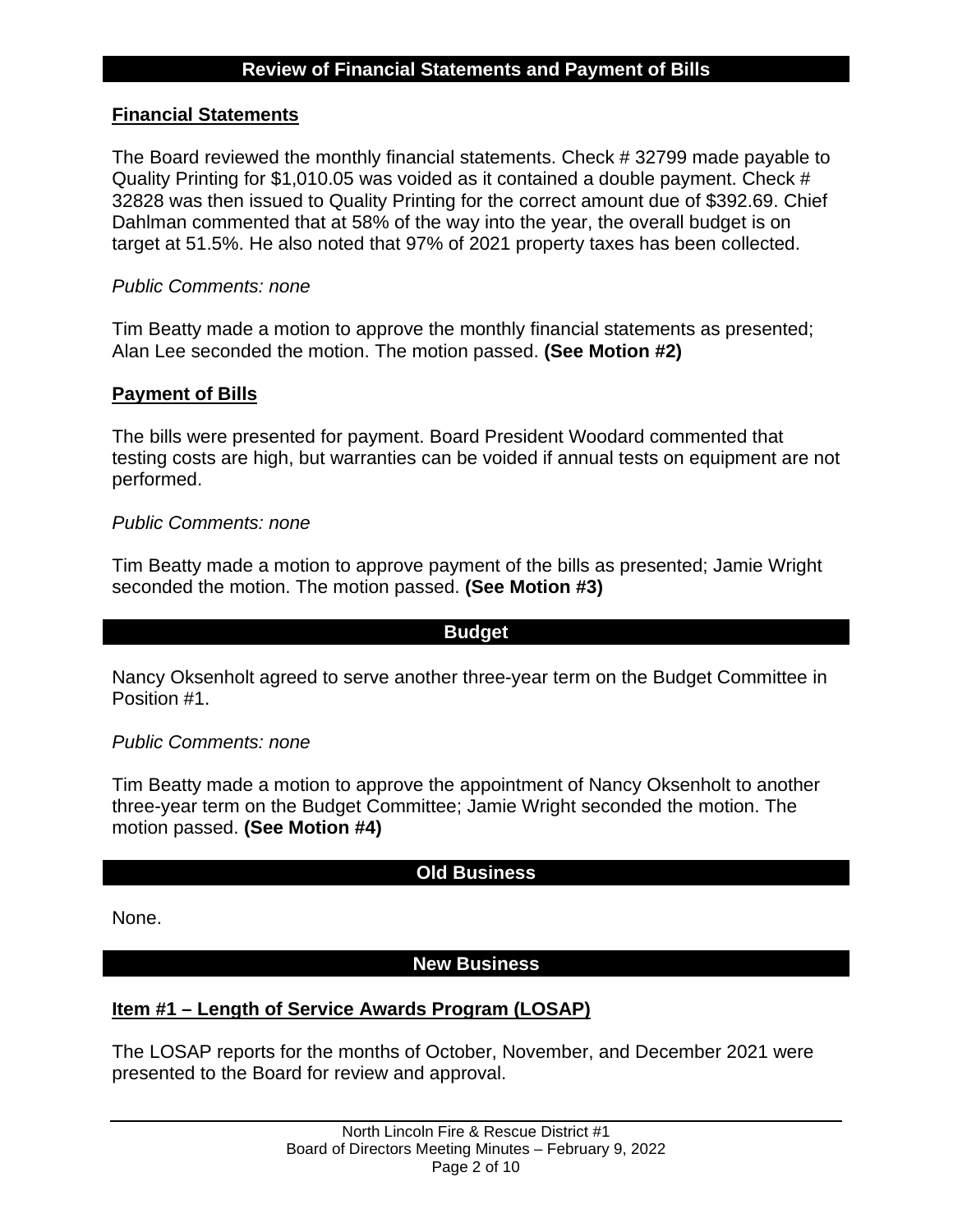# **Financial Statements**

The Board reviewed the monthly financial statements. Check # 32799 made payable to Quality Printing for \$1,010.05 was voided as it contained a double payment. Check # 32828 was then issued to Quality Printing for the correct amount due of \$392.69. Chief Dahlman commented that at 58% of the way into the year, the overall budget is on target at 51.5%. He also noted that 97% of 2021 property taxes has been collected.

# *Public Comments: none*

Tim Beatty made a motion to approve the monthly financial statements as presented; Alan Lee seconded the motion. The motion passed. **(See Motion #2)**

# **Payment of Bills**

The bills were presented for payment. Board President Woodard commented that testing costs are high, but warranties can be voided if annual tests on equipment are not performed.

### *Public Comments: none*

Tim Beatty made a motion to approve payment of the bills as presented; Jamie Wright seconded the motion. The motion passed. **(See Motion #3)**

### **Budget**

Nancy Oksenholt agreed to serve another three-year term on the Budget Committee in Position #1.

### *Public Comments: none*

Tim Beatty made a motion to approve the appointment of Nancy Oksenholt to another three-year term on the Budget Committee; Jamie Wright seconded the motion. The motion passed. **(See Motion #4)**

### **Old Business**

None.

# **New Business**

# **Item #1 – Length of Service Awards Program (LOSAP)**

The LOSAP reports for the months of October, November, and December 2021 were presented to the Board for review and approval.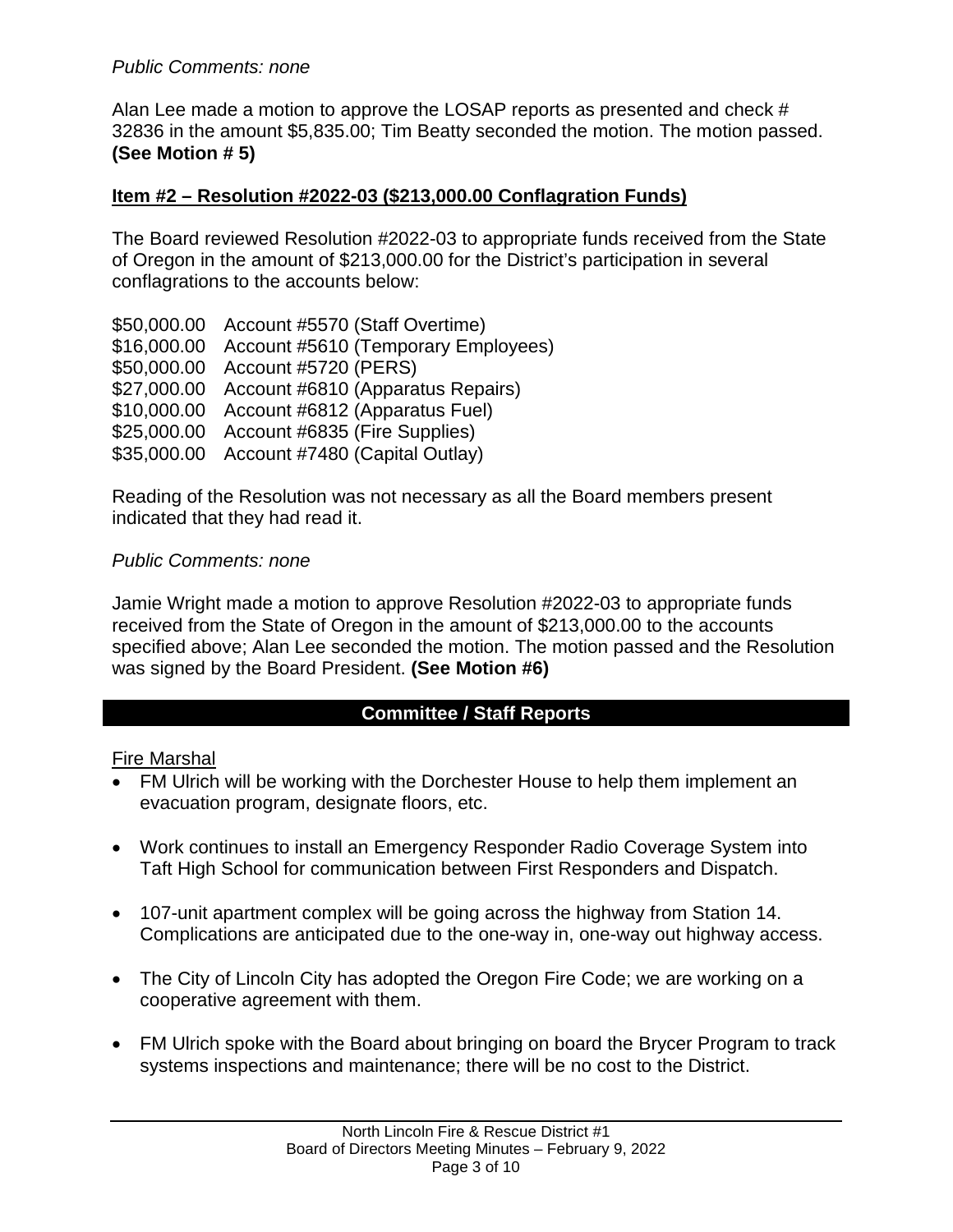# *Public Comments: none*

Alan Lee made a motion to approve the LOSAP reports as presented and check # 32836 in the amount \$5,835.00; Tim Beatty seconded the motion. The motion passed. **(See Motion # 5)**

# **Item #2 – Resolution #2022-03 (\$213,000.00 Conflagration Funds)**

The Board reviewed Resolution #2022-03 to appropriate funds received from the State of Oregon in the amount of \$213,000.00 for the District's participation in several conflagrations to the accounts below:

\$50,000.00 Account #5570 (Staff Overtime) \$16,000.00 Account #5610 (Temporary Employees) \$50,000.00 Account #5720 (PERS) \$27,000.00 Account #6810 (Apparatus Repairs) \$10,000.00 Account #6812 (Apparatus Fuel) \$25,000.00 Account #6835 (Fire Supplies) \$35,000.00 Account #7480 (Capital Outlay)

Reading of the Resolution was not necessary as all the Board members present indicated that they had read it.

### *Public Comments: none*

Jamie Wright made a motion to approve Resolution #2022-03 to appropriate funds received from the State of Oregon in the amount of \$213,000.00 to the accounts specified above; Alan Lee seconded the motion. The motion passed and the Resolution was signed by the Board President. **(See Motion #6)**

# **Committee / Staff Reports**

### Fire Marshal

- FM Ulrich will be working with the Dorchester House to help them implement an evacuation program, designate floors, etc.
- Work continues to install an Emergency Responder Radio Coverage System into Taft High School for communication between First Responders and Dispatch.
- 107-unit apartment complex will be going across the highway from Station 14. Complications are anticipated due to the one-way in, one-way out highway access.
- The City of Lincoln City has adopted the Oregon Fire Code; we are working on a cooperative agreement with them.
- FM Ulrich spoke with the Board about bringing on board the Brycer Program to track systems inspections and maintenance; there will be no cost to the District.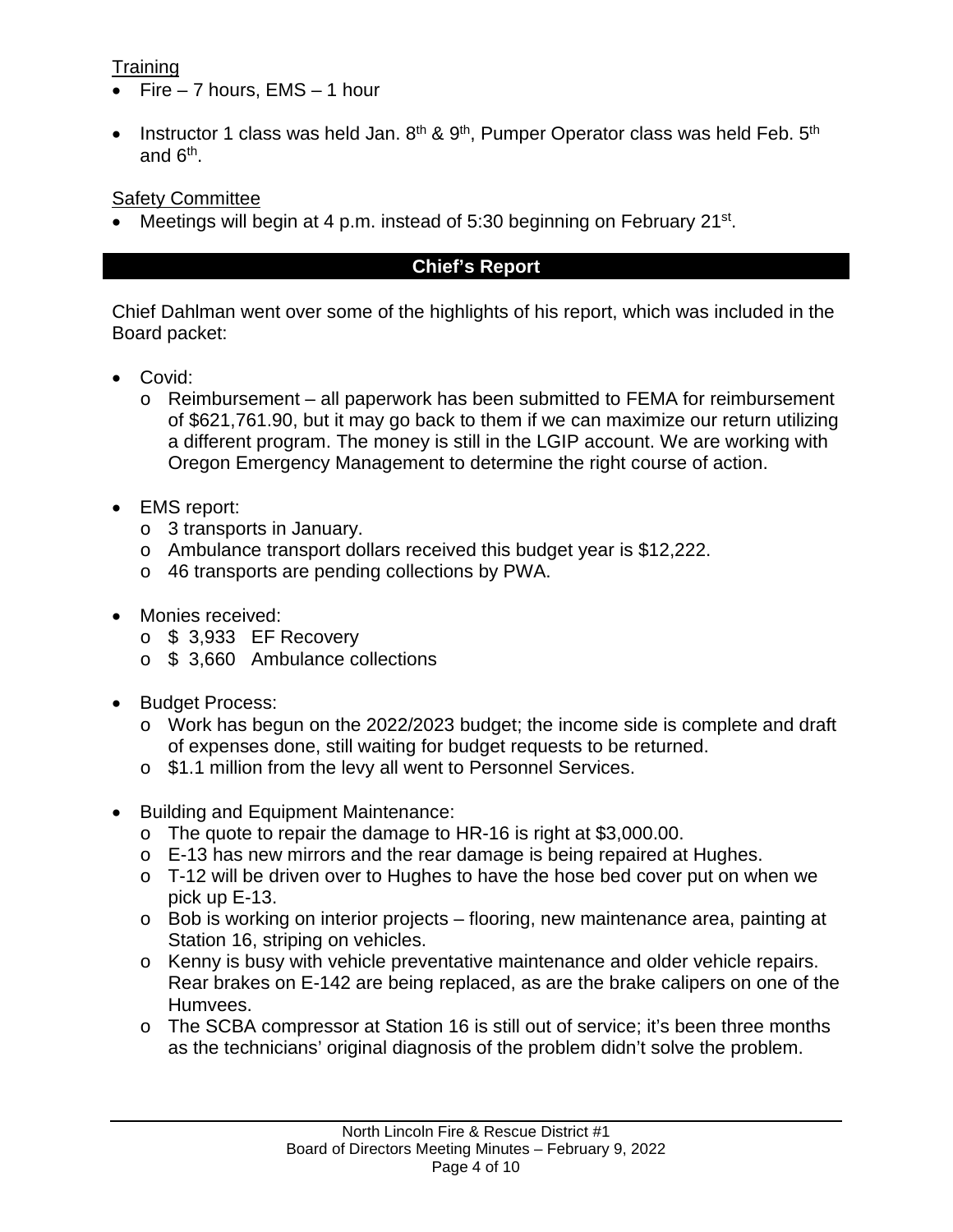# **Training**

- Fire  $-7$  hours, EMS  $-1$  hour
- Instructor 1 class was held Jan.  $8<sup>th</sup>$  &  $9<sup>th</sup>$ . Pumper Operator class was held Feb.  $5<sup>th</sup>$ and 6th.

# Safety Committee

• Meetings will begin at 4 p.m. instead of 5:30 beginning on February 21<sup>st</sup>.

# **Chief's Report**

Chief Dahlman went over some of the highlights of his report, which was included in the Board packet:

- Covid:
	- o Reimbursement all paperwork has been submitted to FEMA for reimbursement of \$621,761.90, but it may go back to them if we can maximize our return utilizing a different program. The money is still in the LGIP account. We are working with Oregon Emergency Management to determine the right course of action.
- EMS report:
	- o 3 transports in January.
	- o Ambulance transport dollars received this budget year is \$12,222.
	- o 46 transports are pending collections by PWA.
- Monies received:
	- $\circ$  \$ 3,933 EF Recovery
	- o \$ 3,660 Ambulance collections
- Budget Process:
	- $\circ$  Work has begun on the 2022/2023 budget; the income side is complete and draft of expenses done, still waiting for budget requests to be returned.
	- o \$1.1 million from the levy all went to Personnel Services.
- Building and Equipment Maintenance:
	- o The quote to repair the damage to HR-16 is right at \$3,000.00.
	- o E-13 has new mirrors and the rear damage is being repaired at Hughes.
	- o T-12 will be driven over to Hughes to have the hose bed cover put on when we pick up E-13.
	- o Bob is working on interior projects flooring, new maintenance area, painting at Station 16, striping on vehicles.
	- o Kenny is busy with vehicle preventative maintenance and older vehicle repairs. Rear brakes on E-142 are being replaced, as are the brake calipers on one of the Humvees.
	- o The SCBA compressor at Station 16 is still out of service; it's been three months as the technicians' original diagnosis of the problem didn't solve the problem.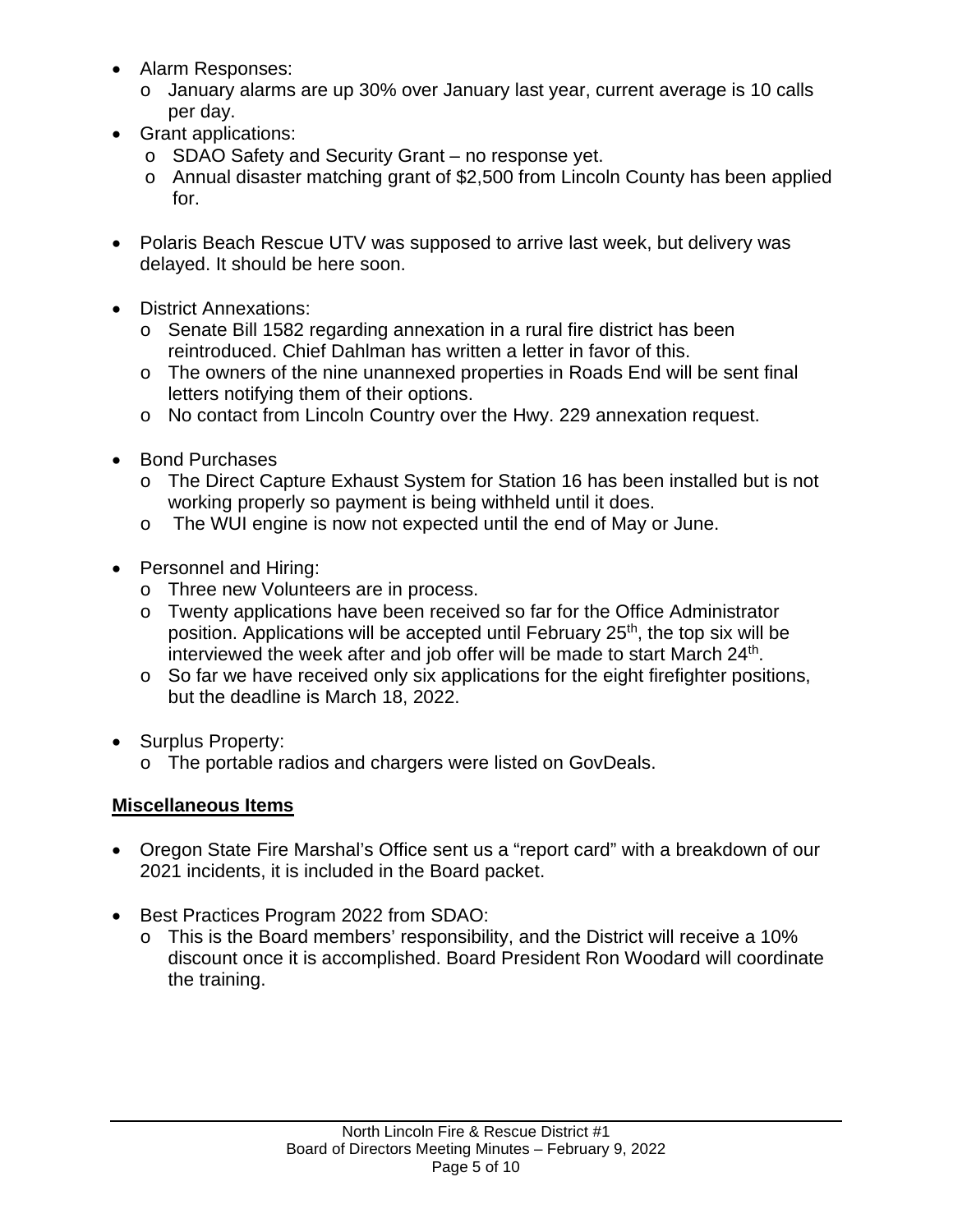- Alarm Responses:
	- o January alarms are up 30% over January last year, current average is 10 calls per day.
- Grant applications:
	- o SDAO Safety and Security Grant no response yet.
	- o Annual disaster matching grant of \$2,500 from Lincoln County has been applied for.
- Polaris Beach Rescue UTV was supposed to arrive last week, but delivery was delayed. It should be here soon.
- District Annexations:
	- o Senate Bill 1582 regarding annexation in a rural fire district has been reintroduced. Chief Dahlman has written a letter in favor of this.
	- o The owners of the nine unannexed properties in Roads End will be sent final letters notifying them of their options.
	- o No contact from Lincoln Country over the Hwy. 229 annexation request.
- Bond Purchases
	- o The Direct Capture Exhaust System for Station 16 has been installed but is not working properly so payment is being withheld until it does.
	- o The WUI engine is now not expected until the end of May or June.
- Personnel and Hiring:
	- o Three new Volunteers are in process.
	- o Twenty applications have been received so far for the Office Administrator position. Applications will be accepted until February 25<sup>th</sup>, the top six will be interviewed the week after and job offer will be made to start March 24<sup>th</sup>.
	- o So far we have received only six applications for the eight firefighter positions, but the deadline is March 18, 2022.
- Surplus Property:
	- o The portable radios and chargers were listed on GovDeals.

# **Miscellaneous Items**

- Oregon State Fire Marshal's Office sent us a "report card" with a breakdown of our 2021 incidents, it is included in the Board packet.
- Best Practices Program 2022 from SDAO:
	- o This is the Board members' responsibility, and the District will receive a 10% discount once it is accomplished. Board President Ron Woodard will coordinate the training.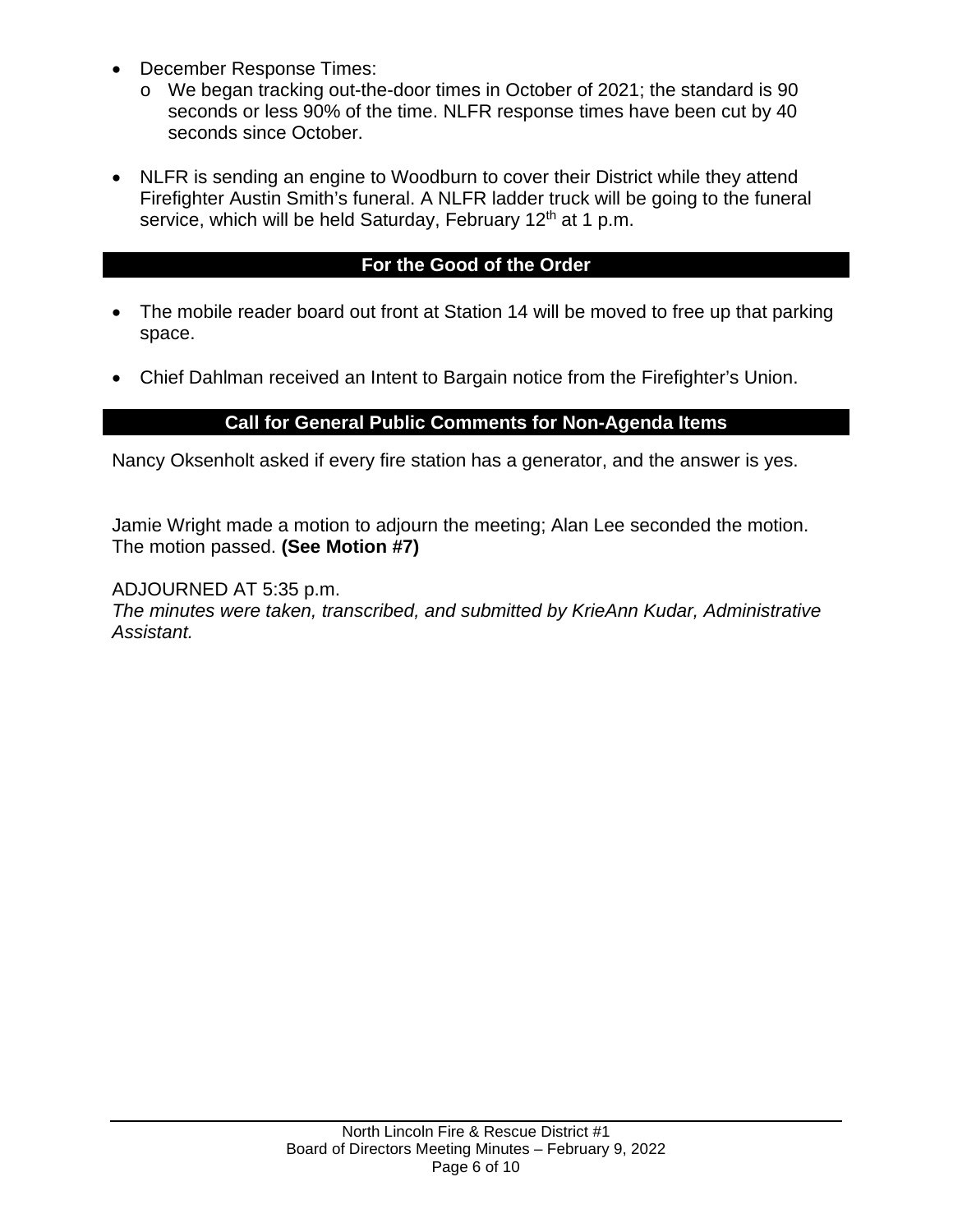- December Response Times:
	- o We began tracking out-the-door times in October of 2021; the standard is 90 seconds or less 90% of the time. NLFR response times have been cut by 40 seconds since October.
- NLFR is sending an engine to Woodburn to cover their District while they attend Firefighter Austin Smith's funeral. A NLFR ladder truck will be going to the funeral service, which will be held Saturday, February 12<sup>th</sup> at 1 p.m.

### **For the Good of the Order**

- The mobile reader board out front at Station 14 will be moved to free up that parking space.
- Chief Dahlman received an Intent to Bargain notice from the Firefighter's Union.

# **Call for General Public Comments for Non-Agenda Items**

Nancy Oksenholt asked if every fire station has a generator, and the answer is yes.

Jamie Wright made a motion to adjourn the meeting; Alan Lee seconded the motion. The motion passed. **(See Motion #7)**

ADJOURNED AT 5:35 p.m. *The minutes were taken, transcribed, and submitted by KrieAnn Kudar, Administrative Assistant.*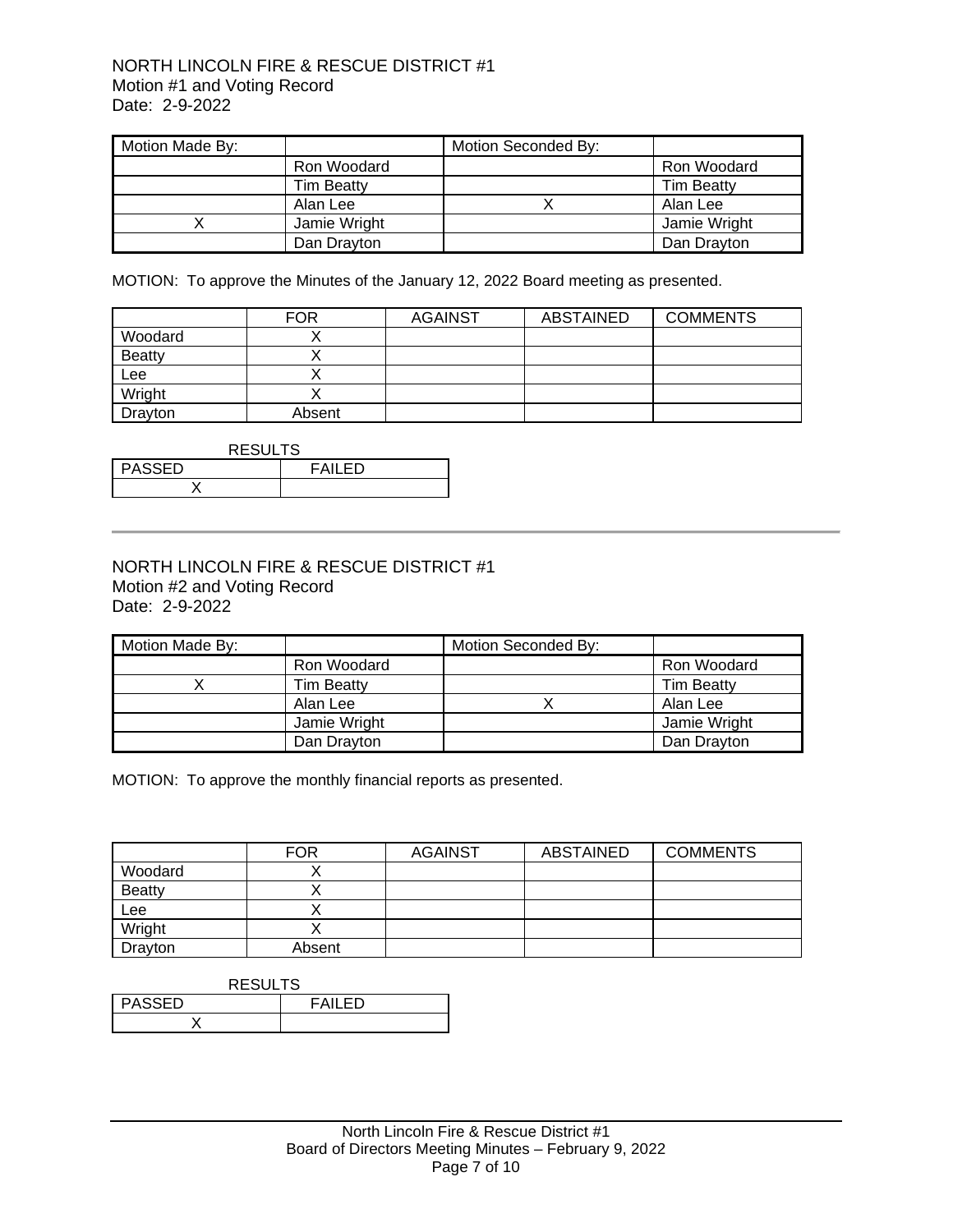#### NORTH LINCOLN FIRE & RESCUE DISTRICT #1 Motion #1 and Voting Record Date: 2-9-2022

| Motion Made By: |                   | Motion Seconded By: |                   |
|-----------------|-------------------|---------------------|-------------------|
|                 | Ron Woodard       |                     | Ron Woodard       |
|                 | <b>Tim Beatty</b> |                     | <b>Tim Beatty</b> |
|                 | Alan Lee          |                     | Alan Lee          |
|                 | Jamie Wright      |                     | Jamie Wright      |
|                 | Dan Drayton       |                     | Dan Drayton       |

MOTION: To approve the Minutes of the January 12, 2022 Board meeting as presented.

|               | <b>FOR</b> | <b>AGAINST</b> | ABSTAINED | <b>COMMENTS</b> |
|---------------|------------|----------------|-----------|-----------------|
| Woodard       |            |                |           |                 |
| <b>Beatty</b> |            |                |           |                 |
| Lee           |            |                |           |                 |
| Wright        |            |                |           |                 |
| Drayton       | Absent     |                |           |                 |

| <b>RESULTS</b> |         |  |
|----------------|---------|--|
| PASSED         | FAIL FD |  |
|                |         |  |

### NORTH LINCOLN FIRE & RESCUE DISTRICT #1 Motion #2 and Voting Record Date: 2-9-2022

| Motion Made By: |                   | Motion Seconded By: |                   |
|-----------------|-------------------|---------------------|-------------------|
|                 | Ron Woodard       |                     | Ron Woodard       |
|                 | <b>Tim Beatty</b> |                     | <b>Tim Beatty</b> |
|                 | Alan Lee          |                     | Alan Lee          |
|                 | Jamie Wright      |                     | Jamie Wright      |
|                 | Dan Drayton       |                     | Dan Drayton       |

MOTION: To approve the monthly financial reports as presented.

|               | <b>FOR</b> | <b>AGAINST</b> | ABSTAINED | <b>COMMENTS</b> |
|---------------|------------|----------------|-----------|-----------------|
| Woodard       |            |                |           |                 |
| <b>Beatty</b> |            |                |           |                 |
| Lee           |            |                |           |                 |
| Wright        |            |                |           |                 |
| Drayton       | Absent     |                |           |                 |

| <b>RESULTS</b>                 |  |  |
|--------------------------------|--|--|
| <b>PASSED</b><br><b>FAILED</b> |  |  |
|                                |  |  |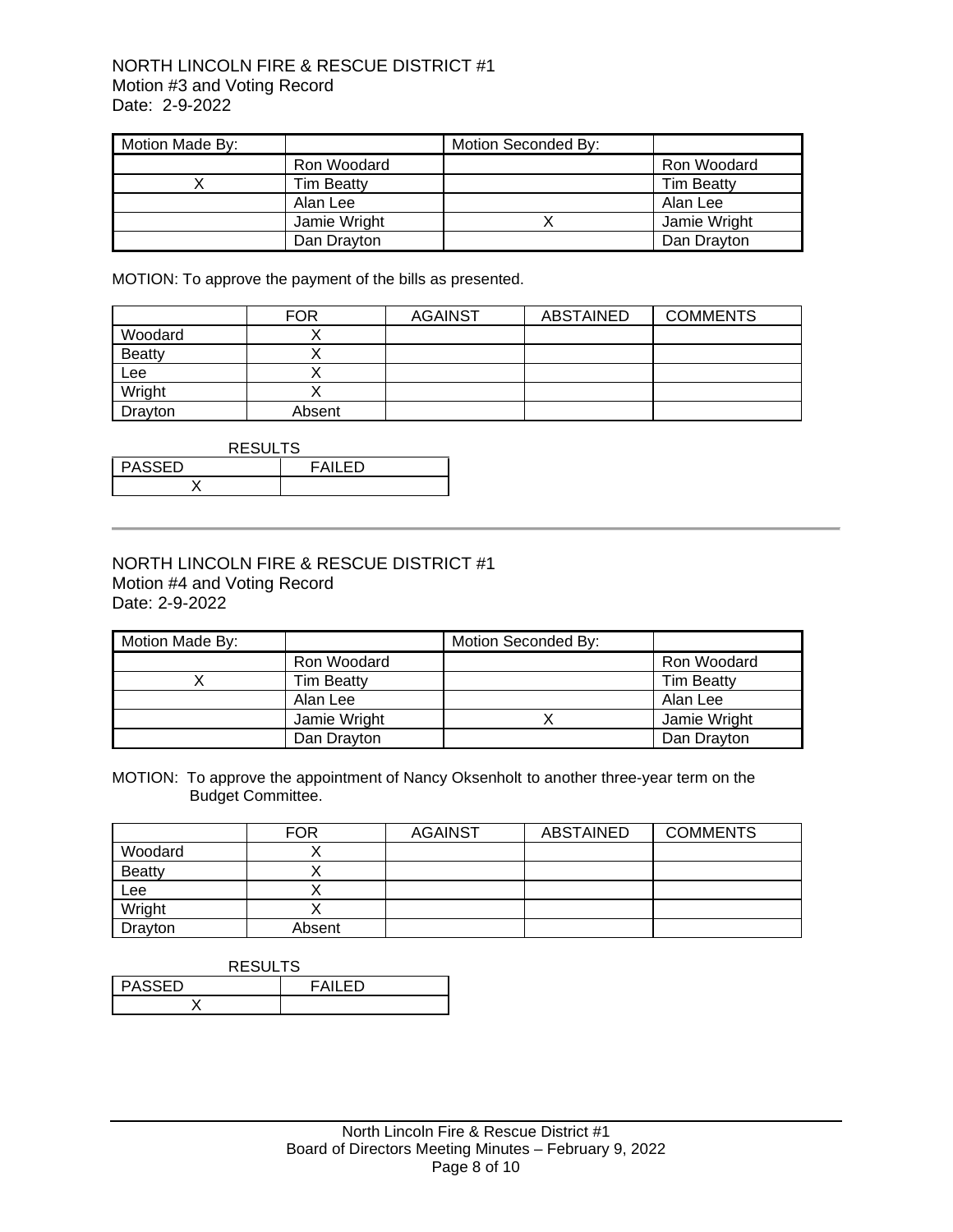#### NORTH LINCOLN FIRE & RESCUE DISTRICT #1 Motion #3 and Voting Record Date: 2-9-2022

| Motion Made By: |                   | Motion Seconded By: |                   |
|-----------------|-------------------|---------------------|-------------------|
|                 | Ron Woodard       |                     | Ron Woodard       |
|                 | <b>Tim Beatty</b> |                     | <b>Tim Beatty</b> |
|                 | Alan Lee          |                     | Alan Lee          |
|                 | Jamie Wright      |                     | Jamie Wright      |
|                 | Dan Drayton       |                     | Dan Drayton       |

MOTION: To approve the payment of the bills as presented.

|               | <b>FOR</b> | <b>AGAINST</b> | ABSTAINED | <b>COMMENTS</b> |
|---------------|------------|----------------|-----------|-----------------|
| Woodard       |            |                |           |                 |
| <b>Beatty</b> |            |                |           |                 |
| Lee           |            |                |           |                 |
| Wright        |            |                |           |                 |
| Drayton       | Absent     |                |           |                 |

| <b>RESULTS</b> |               |
|----------------|---------------|
| PASSED         | <b>FAILED</b> |
|                |               |

#### NORTH LINCOLN FIRE & RESCUE DISTRICT #1 Motion #4 and Voting Record Date: 2-9-2022

| Motion Made By: |                   | Motion Seconded By: |                   |
|-----------------|-------------------|---------------------|-------------------|
|                 | Ron Woodard       |                     | Ron Woodard       |
|                 | <b>Tim Beatty</b> |                     | <b>Tim Beatty</b> |
|                 | Alan Lee          |                     | Alan Lee          |
|                 | Jamie Wright      |                     | Jamie Wright      |
|                 | Dan Drayton       |                     | Dan Drayton       |

MOTION: To approve the appointment of Nancy Oksenholt to another three-year term on the Budget Committee.

|               | <b>FOR</b> | <b>AGAINST</b> | <b>ABSTAINED</b> | <b>COMMENTS</b> |
|---------------|------------|----------------|------------------|-----------------|
| Woodard       |            |                |                  |                 |
| <b>Beatty</b> |            |                |                  |                 |
| Lee           |            |                |                  |                 |
| Wright        |            |                |                  |                 |
| Drayton       | Absent     |                |                  |                 |

| <b>RESULTS</b>           |  |  |
|--------------------------|--|--|
| <b>PASSED</b><br>FAII FD |  |  |
|                          |  |  |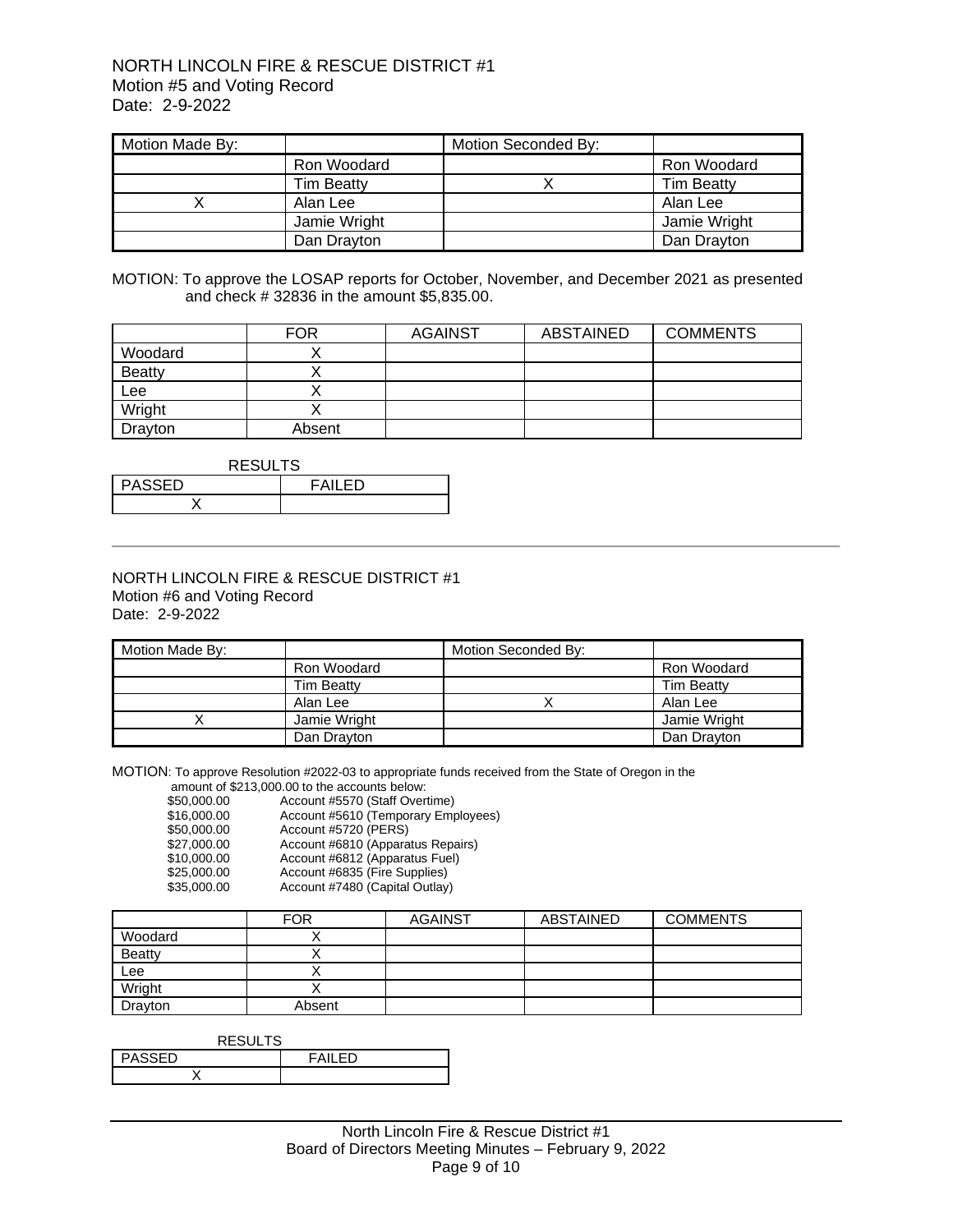#### NORTH LINCOLN FIRE & RESCUE DISTRICT #1 Motion #5 and Voting Record Date: 2-9-2022

| Motion Made By: |                   | Motion Seconded By: |                   |
|-----------------|-------------------|---------------------|-------------------|
|                 | Ron Woodard       |                     | Ron Woodard       |
|                 | <b>Tim Beatty</b> |                     | <b>Tim Beatty</b> |
|                 | Alan Lee          |                     | Alan Lee          |
|                 | Jamie Wright      |                     | Jamie Wright      |
|                 | Dan Drayton       |                     | Dan Drayton       |

MOTION: To approve the LOSAP reports for October, November, and December 2021 as presented and check # 32836 in the amount \$5,835.00.

|               | <b>FOR</b> | <b>AGAINST</b> | <b>ABSTAINED</b> | <b>COMMENTS</b> |
|---------------|------------|----------------|------------------|-----------------|
| Woodard       |            |                |                  |                 |
| <b>Beatty</b> |            |                |                  |                 |
| Lee           |            |                |                  |                 |
| Wright        |            |                |                  |                 |
| Drayton       | Absent     |                |                  |                 |

RESULTS

| $\cdots$ |  |
|----------|--|
|          |  |

#### NORTH LINCOLN FIRE & RESCUE DISTRICT #1 Motion #6 and Voting Record Date: 2-9-2022

| Motion Made By: |                   | Motion Seconded By: |                   |
|-----------------|-------------------|---------------------|-------------------|
|                 | Ron Woodard       |                     | Ron Woodard       |
|                 | <b>Tim Beatty</b> |                     | <b>Tim Beatty</b> |
|                 | Alan Lee          |                     | Alan Lee          |
|                 | Jamie Wright      |                     | Jamie Wright      |
|                 | Dan Drayton       |                     | Dan Dravton       |

MOTION: To approve Resolution #2022-03 to appropriate funds received from the State of Oregon in the amount of \$213,000.00 to the accounts below:

|             | alliverit of exit blood of the accounts below. |
|-------------|------------------------------------------------|
| \$50,000.00 | Account #5570 (Staff Overtime)                 |
| \$16,000.00 | Account #5610 (Temporary Employees)            |
| \$50,000.00 | Account #5720 (PERS)                           |
| \$27,000.00 | Account #6810 (Apparatus Repairs)              |
| \$10,000.00 | Account #6812 (Apparatus Fuel)                 |
| \$25,000.00 | Account #6835 (Fire Supplies)                  |
| \$35,000.00 | Account #7480 (Capital Outlay)                 |
|             |                                                |

|         | <b>FOR</b> | <b>AGAINST</b> | ABSTAINED | <b>COMMENTS</b> |
|---------|------------|----------------|-----------|-----------------|
| Woodard |            |                |           |                 |
| Beatty  |            |                |           |                 |
| Lee     |            |                |           |                 |
| Wright  |            |                |           |                 |
| Drayton | Absent     |                |           |                 |

| <b>RESULTS</b> |               |
|----------------|---------------|
| <b>PASSED</b>  | <b>FAILED</b> |
|                |               |